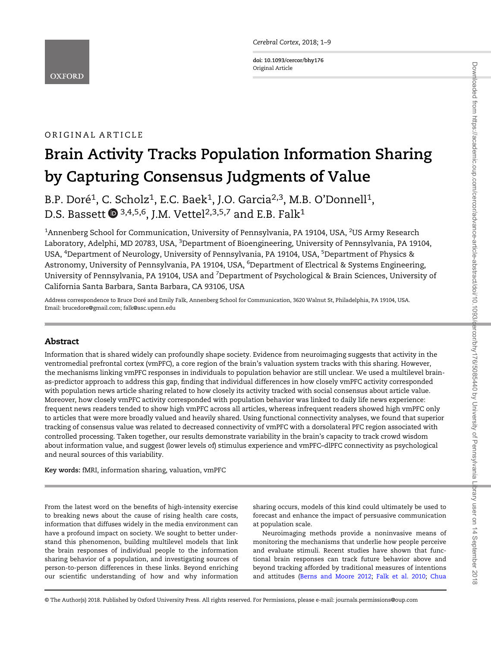Cerebral Cortex, 2018; 1–9

doi: 10.1093/cercor/bhy176 Original Article

# ORIGINAL ARTICLE

# Brain Activity Tracks Population Information Sharing by Capturing Consensus Judgments of Value

B.P. Doré<sup>1</sup>, C. Scholz<sup>1</sup>, E.C. Baek<sup>1</sup>, J.O. Garcia<sup>2,3</sup>, M.B. O'Donnell<sup>1</sup>, D.S. Bassett  $\bullet$  [3](http://orcid.org/0000-0002-6183-4493),4,5,6, J.M. Vettel<sup>2,3,5,7</sup> and E.B. Falk<sup>1</sup>

 $^{\rm 1}$ Annenberg School for Communication, University of Pennsylvania, PA 19104, USA,  $^{\rm 2}$ US Army Research Laboratory, Adelphi, MD 20783, USA, <sup>3</sup>Department of Bioengineering, University of Pennsylvania, PA 19104, USA, <sup>4</sup>Department of Neurology, University of Pennsylvania, PA 19104, USA, <sup>5</sup>Department of Physics & Astronomy, University of Pennsylvania, PA 19104, USA, <sup>6</sup>Department of Electrical & Systems Engineering, University of Pennsylvania, PA 19104, USA and <sup>7</sup>Department of Psychological & Brain Sciences, University of California Santa Barbara, Santa Barbara, CA 93106, USA

Address correspondence to Bruce Doré and Emily Falk, Annenberg School for Communication, 3620 Walnut St, Philadelphia, PA 19104, USA. Email: brucedore@gmail.com; falk@asc.upenn.edu

# Abstract

Information that is shared widely can profoundly shape society. Evidence from neuroimaging suggests that activity in the ventromedial prefrontal cortex (vmPFC), a core region of the brain's valuation system tracks with this sharing. However, the mechanisms linking vmPFC responses in individuals to population behavior are still unclear. We used a multilevel brainas-predictor approach to address this gap, finding that individual differences in how closely vmPFC activity corresponded with population news article sharing related to how closely its activity tracked with social consensus about article value. Moreover, how closely vmPFC activity corresponded with population behavior was linked to daily life news experience: frequent news readers tended to show high vmPFC across all articles, whereas infrequent readers showed high vmPFC only to articles that were more broadly valued and heavily shared. Using functional connectivity analyses, we found that superior tracking of consensus value was related to decreased connectivity of vmPFC with a dorsolateral PFC region associated with controlled processing. Taken together, our results demonstrate variability in the brain's capacity to track crowd wisdom about information value, and suggest (lower levels of) stimulus experience and vmPFC–dlPFC connectivity as psychological and neural sources of this variability.

Key words: fMRI, information sharing, valuation, vmPFC

From the latest word on the benefits of high-intensity exercise to breaking news about the cause of rising health care costs, information that diffuses widely in the media environment can have a profound impact on society. We sought to better understand this phenomenon, building multilevel models that link the brain responses of individual people to the information sharing behavior of a population, and investigating sources of person-to-person differences in these links. Beyond enriching our scientific understanding of how and why information

sharing occurs, models of this kind could ultimately be used to forecast and enhance the impact of persuasive communication at population scale.

Neuroimaging methods provide a noninvasive means of monitoring the mechanisms that underlie how people perceive and evaluate stimuli. Recent studies have shown that functional brain responses can track future behavior above and beyond tracking afforded by traditional measures of intentions and attitudes [\(Berns and Moore 2012](#page-7-0); [Falk et al. 2010;](#page-8-0) [Chua](#page-7-0)

© The Author(s) 2018. Published by Oxford University Press. All rights reserved. For Permissions, please e-mail: journals.permissions@oup.com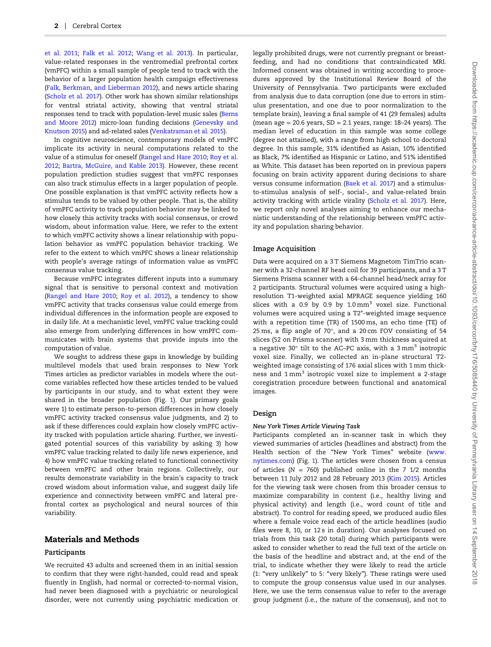[et al. 2011](#page-7-0); [Falk et al. 2012](#page-8-0); [Wang et al. 2013](#page-8-0)). In particular, value-related responses in the ventromedial prefrontal cortex (vmPFC) within a small sample of people tend to track with the behavior of a larger population health campaign effectiveness [\(Falk, Berkman, and Lieberman 2012\)](#page-8-0), and news article sharing [\(Scholz et al. 2017\)](#page-8-0). Other work has shown similar relationships for ventral striatal activity, showing that ventral striatal responses tend to track with population-level music sales ([Berns](#page-7-0) [and Moore 2012](#page-7-0)) micro-loan funding decisions ([Genevsky and](#page-8-0) [Knutson 2015\)](#page-8-0) and ad-related sales ([Venkatraman et al. 2015\)](#page-8-0).

In cognitive neuroscience, contemporary models of vmPFC implicate its activity in neural computations related to the value of a stimulus for oneself [\(Rangel and Hare 2010;](#page-8-0) [Roy et al.](#page-8-0) [2012;](#page-8-0) [Bartra, McGuire, and Kable 2013\)](#page-7-0). However, these recent population prediction studies suggest that vmPFC responses can also track stimulus effects in a larger population of people. One possible explanation is that vmPFC activity reflects how a stimulus tends to be valued by other people. That is, the ability of vmPFC activity to track population behavior may be linked to how closely this activity tracks with social consensus, or crowd wisdom, about information value. Here, we refer to the extent to which vmPFC activity shows a linear relationship with population behavior as vmPFC population behavior tracking. We refer to the extent to which vmPFC shows a linear relationship with people's average ratings of information value as vmPFC consensus value tracking.

Because vmPFC integrates different inputs into a summary signal that is sensitive to personal context and motivation [\(Rangel and Hare 2010](#page-8-0); [Roy et al. 2012](#page-8-0)), a tendency to show vmPFC activity that tracks consensus value could emerge from individual differences in the information people are exposed to in daily life. At a mechanistic level, vmPFC value tracking could also emerge from underlying differences in how vmPFC communicates with brain systems that provide inputs into the computation of value.

We sought to address these gaps in knowledge by building multilevel models that used brain responses to New York Times articles as predictor variables in models where the outcome variables reflected how these articles tended to be valued by participants in our study, and to what extent they were shared in the broader population (Fig. [1\)](#page-2-0). Our primary goals were 1) to estimate person-to-person differences in how closely vmPFC activity tracked consensus value judgments, and 2) to ask if these differences could explain how closely vmPFC activity tracked with population article sharing. Further, we investigated potential sources of this variability by asking 3) how vmPFC value tracking related to daily life news experience, and 4) how vmPFC value tracking related to functional connectivity between vmPFC and other brain regions. Collectively, our results demonstrate variability in the brain's capacity to track crowd wisdom about information value, and suggest daily life experience and connectivity between vmPFC and lateral prefrontal cortex as psychological and neural sources of this variability.

## Materials and Methods

#### Participants

We recruited 43 adults and screened them in an initial session to confirm that they were right-handed, could read and speak fluently in English, had normal or corrected-to-normal vision, had never been diagnosed with a psychiatric or neurological disorder, were not currently using psychiatric medication or

legally prohibited drugs, were not currently pregnant or breastfeeding, and had no conditions that contraindicated MRI. Informed consent was obtained in writing according to procedures approved by the Institutional Review Board of the University of Pennsylvania. Two participants were excluded from analysis due to data corruption (one due to errors in stimulus presentation, and one due to poor normalization to the template brain), leaving a final sample of 41 (29 females) adults (mean age  $= 20.6$  years,  $SD = 2.1$  years, range: 18–24 years). The median level of education in this sample was some college (degree not attained), with a range from high school to doctoral degree. In this sample, 31% identified as Asian, 10% identified as Black, 7% identified as Hispanic or Latino, and 51% identified as White. This dataset has been reported on in previous papers focusing on brain activity apparent during decisions to share versus consume information [\(Baek et al. 2017\)](#page-7-0) and a stimulusto-stimulus analysis of self-, social-, and value-related brain activity tracking with article virality [\(Scholz et al. 2017](#page-8-0)). Here, we report only novel analyses aiming to enhance our mechanistic understanding of the relationship between vmPFC activity and population sharing behavior.

#### Image Acquisition

Data were acquired on a 3 T Siemens Magnetom TimTrio scanner with a 32-channel RF head coil for 39 participants, and a 3 T Siemens Prisma scanner with a 64-channel head/neck array for 2 participants. Structural volumes were acquired using a highresolution T1-weighted axial MPRAGE sequence yielding 160 slices with a 0.9 by 0.9 by  $1.0 \text{ mm}^3$  voxel size. Functional volumes were acquired using a T2\*-weighted image sequence with a repetition time (TR) of 1500 ms, an echo time (TE) of 25 ms, a flip angle of 70°, and a 20 cm FOV consisting of 54 slices (52 on Prisma scanner) with 3 mm thickness acquired at a negative  $30^{\circ}$  tilt to the AC-PC axis, with a  $3 \text{ mm}^3$  isotropic voxel size. Finally, we collected an in-plane structural T2 weighted image consisting of 176 axial slices with 1 mm thickness and 1 mm<sup>3</sup> isotropic voxel size to implement a 2-stage coregistration procedure between functional and anatomical images.

### Design

#### New York Times Article Viewing Task

Participants completed an in-scanner task in which they viewed summaries of articles (headlines and abstract) from the Health section of the "New York Times" website ([www.](http://www.nytimes.com) [nytimes.com\)](http://www.nytimes.com) (Fig. [1](#page-2-0)). The articles were chosen from a census of articles ( $N = 760$ ) published online in the 7 1/2 months between 11 July 2012 and 28 February 2013 ([Kim 2015\)](#page-8-0). Articles for the viewing task were chosen from this broader census to maximize comparability in content (i.e., healthy living and physical activity) and length (i.e., word count of title and abstract). To control for reading speed, we produced audio files where a female voice read each of the article headlines (audio files were 8, 10, or 12 s in duration). Our analyses focused on trials from this task (20 total) during which participants were asked to consider whether to read the full text of the article on the basis of the headline and abstract and, at the end of the trial, to indicate whether they were likely to read the article (1: "very unlikely" to 5: "very likely"). These ratings were used to compute the group consensus value used in our analyses. Here, we use the term consensus value to refer to the average group judgment (i.e., the nature of the consensus), and not to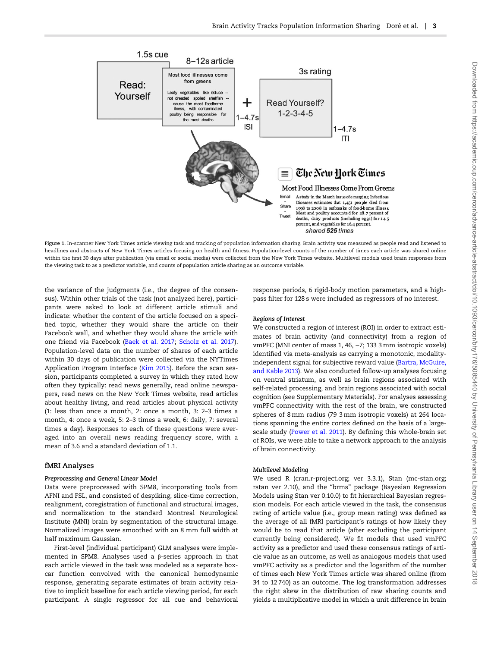<span id="page-2-0"></span>

Figure 1. In-scanner New York Times article viewing task and tracking of population information sharing. Brain activity was measured as people read and listened to headlines and abstracts of New York Times articles focusing on health and fitness. Population-level counts of the number of times each article was shared online within the first 30 days after publication (via email or social media) were collected from the New York Times website. Multilevel models used brain responses from the viewing task to as a predictor variable, and counts of population article sharing as an outcome variable.

the variance of the judgments (i.e., the degree of the consensus). Within other trials of the task (not analyzed here), participants were asked to look at different article stimuli and indicate: whether the content of the article focused on a specified topic, whether they would share the article on their Facebook wall, and whether they would share the article with one friend via Facebook ([Baek et al. 2017](#page-7-0); [Scholz et al. 2017\)](#page-8-0). Population-level data on the number of shares of each article within 30 days of publication were collected via the NYTimes Application Program Interface ([Kim 2015](#page-8-0)). Before the scan session, participants completed a survey in which they rated how often they typically: read news generally, read online newspapers, read news on the New York Times website, read articles about healthy living, and read articles about physical activity (1: less than once a month, 2: once a month, 3: 2–3 times a month, 4: once a week, 5: 2–3 times a week, 6: daily, 7: several times a day). Responses to each of these questions were averaged into an overall news reading frequency score, with a mean of 3.6 and a standard deviation of 1.1.

#### fMRI Analyses

#### Preprocessing and General Linear Model

Data were preprocessed with SPM8, incorporating tools from AFNI and FSL, and consisted of despiking, slice-time correction, realignment, coregistration of functional and structural images, and normalization to the standard Montreal Neurological Institute (MNI) brain by segmentation of the structural image. Normalized images were smoothed with an 8 mm full width at half maximum Gaussian.

First-level (individual participant) GLM analyses were implemented in SPM8. Analyses used a β-series approach in that each article viewed in the task was modeled as a separate boxcar function convolved with the canonical hemodynamic response, generating separate estimates of brain activity relative to implicit baseline for each article viewing period, for each participant. A single regressor for all cue and behavioral

response periods, 6 rigid-body motion parameters, and a highpass filter for 128 s were included as regressors of no interest.

#### Regions of Interest

We constructed a region of interest (ROI) in order to extract estimates of brain activity (and connectivity) from a region of vmPFC (MNI center of mass 1, 46, −7; 133 3 mm isotropic voxels) identified via meta-analysis as carrying a monotonic, modalityindependent signal for subjective reward value [\(Bartra, McGuire,](#page-7-0) [and Kable 2013\)](#page-7-0). We also conducted follow-up analyses focusing on ventral striatum, as well as brain regions associated with self-related processing, and brain regions associated with social cognition (see Supplementary Materials). For analyses assessing vmPFC connectivity with the rest of the brain, we constructed spheres of 8 mm radius (79 3 mm isotropic voxels) at 264 locations spanning the entire cortex defined on the basis of a largescale study [\(Power et al. 2011\)](#page-8-0). By defining this whole-brain set of ROIs, we were able to take a network approach to the analysis of brain connectivity.

#### Multilevel Modeling

We used R (cran.r-project.org; ver 3.3.1), Stan (mc-stan.org; rstan ver 2.10), and the "brms" package (Bayesian Regression Models using Stan ver 0.10.0) to fit hierarchical Bayesian regression models. For each article viewed in the task, the consensus rating of article value (i.e., group mean rating) was defined as the average of all fMRI participant's ratings of how likely they would be to read that article (after excluding the participant currently being considered). We fit models that used vmPFC activity as a predictor and used these consensus ratings of article value as an outcome, as well as analogous models that used vmPFC activity as a predictor and the logarithm of the number of times each New York Times article was shared online (from 34 to 12 740) as an outcome. The log transformation addresses the right skew in the distribution of raw sharing counts and yields a multiplicative model in which a unit difference in brain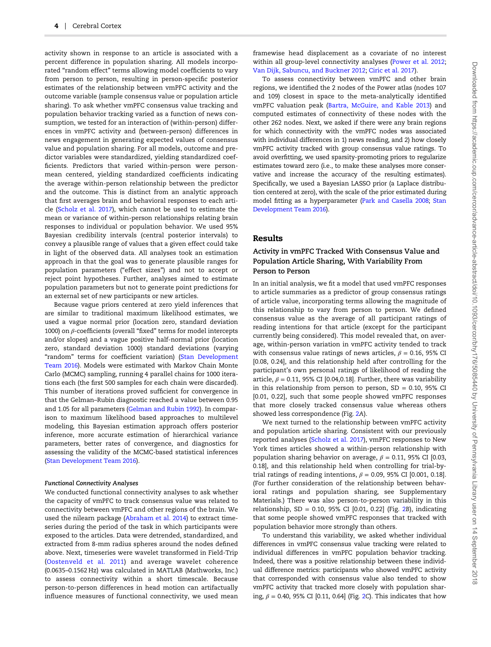activity shown in response to an article is associated with a percent difference in population sharing. All models incorporated "random effect" terms allowing model coefficients to vary from person to person, resulting in person-specific posterior estimates of the relationship between vmPFC activity and the outcome variable (sample consensus value or population article sharing). To ask whether vmPFC consensus value tracking and population behavior tracking varied as a function of news consumption, we tested for an interaction of (within-person) differences in vmPFC activity and (between-person) differences in news engagement in generating expected values of consensus value and population sharing. For all models, outcome and predictor variables were standardized, yielding standardized coefficients. Predictors that varied within-person were personmean centered, yielding standardized coefficients indicating the average within-person relationship between the predictor and the outcome. This is distinct from an analytic approach that first averages brain and behavioral responses to each article ([Scholz et al. 2017\)](#page-8-0), which cannot be used to estimate the mean or variance of within-person relationships relating brain responses to individual or population behavior. We used 95% Bayesian credibility intervals (central posterior intervals) to convey a plausible range of values that a given effect could take in light of the observed data. All analyses took an estimation approach in that the goal was to generate plausible ranges for population parameters ("effect sizes") and not to accept or reject point hypotheses. Further, analyses aimed to estimate population parameters but not to generate point predictions for an external set of new participants or new articles.

Because vague priors centered at zero yield inferences that are similar to traditional maximum likelihood estimates, we used a vague normal prior (location zero, standard deviation 1000) on  $β$ -coefficients (overall "fixed" terms for model intercepts and/or slopes) and a vague positive half-normal prior (location zero, standard deviation 1000) standard deviations (varying "random" terms for coefficient variation) [\(Stan Development](#page-8-0) [Team 2016](#page-8-0)). Models were estimated with Markov Chain Monte Carlo (MCMC) sampling, running 4 parallel chains for 1000 iterations each (the first 500 samples for each chain were discarded). This number of iterations proved sufficient for convergence in that the Gelman–Rubin diagnostic reached a value between 0.95 and 1.05 for all parameters [\(Gelman and Rubin 1992](#page-8-0)). In comparison to maximum likelihood based approaches to multilevel modeling, this Bayesian estimation approach offers posterior inference, more accurate estimation of hierarchical variance parameters, better rates of convergence, and diagnostics for assessing the validity of the MCMC-based statistical inferences [\(Stan Development Team 2016\)](#page-8-0).

## Functional Connectivity Analyses

We conducted functional connectivity analyses to ask whether the capacity of vmPFC to track consensus value was related to connectivity between vmPFC and other regions of the brain. We used the nilearn package ([Abraham et al. 2014](#page-7-0)) to extract timeseries during the period of the task in which participants were exposed to the articles. Data were detrended, standardized, and extracted from 8-mm radius spheres around the nodes defined above. Next, timeseries were wavelet transformed in Field-Trip ([Oostenveld et al. 2011](#page-8-0)) and average wavelet coherence (0.0635–0.1562 Hz) was calculated in MATLAB (Mathworks, Inc.) to assess connectivity within a short timescale. Because person-to-person differences in head motion can artifactually influence measures of functional connectivity, we used mean

framewise head displacement as a covariate of no interest within all group-level connectivity analyses ([Power et al. 2012;](#page-8-0) [Van Dijk, Sabuncu, and Buckner 2012](#page-8-0); [Ciric et al. 2017\)](#page-7-0).

To assess connectivity between vmPFC and other brain regions, we identified the 2 nodes of the Power atlas (nodes 107 and 109) closest in space to the meta-analytically identified vmPFC valuation peak [\(Bartra, McGuire, and Kable 2013\)](#page-7-0) and computed estimates of connectivity of these nodes with the other 262 nodes. Next, we asked if there were any brain regions for which connectivity with the vmPFC nodes was associated with individual differences in 1) news reading, and 2) how closely vmPFC activity tracked with group consensus value ratings. To avoid overfitting, we used sparsity-promoting priors to regularize estimates toward zero (i.e., to make these analyses more conservative and increase the accuracy of the resulting estimates). Specifically, we used a Bayesian LASSO prior (a Laplace distribution centered at zero), with the scale of the prior estimated during model fitting as a hyperparameter [\(Park and Casella 2008;](#page-8-0) [Stan](#page-8-0) [Development Team 2016](#page-8-0)).

# Results

# Activity in vmPFC Tracked With Consensus Value and Population Article Sharing, With Variability From Person to Person

In an initial analysis, we fit a model that used vmPFC responses to article summaries as a predictor of group consensus ratings of article value, incorporating terms allowing the magnitude of this relationship to vary from person to person. We defined consensus value as the average of all participant ratings of reading intentions for that article (except for the participant currently being considered). This model revealed that, on average, within-person variation in vmPFC activity tended to track with consensus value ratings of news articles,  $\beta$  = 0.16, 95% CI [0.08, 0.24], and this relationship held after controlling for the participant's own personal ratings of likelihood of reading the article,  $\beta = 0.11$ , 95% CI [0.04,0.18]. Further, there was variability in this relationship from person to person,  $SD = 0.10$ , 95% CI [0.01, 0.22], such that some people showed vmPFC responses that more closely tracked consensus value whereas others showed less correspondence (Fig. [2](#page-4-0)A).

We next turned to the relationship between vmPFC activity and population article sharing. Consistent with our previously reported analyses [\(Scholz et al. 2017\)](#page-8-0), vmPFC responses to New York times articles showed a within-person relationship with population sharing behavior on average,  $\beta = 0.11$ , 95% CI [0.03, 0.18], and this relationship held when controlling for trial-bytrial ratings of reading intentions,  $\beta = 0.09$ , 95% CI [0.001, 0.18]. (For further consideration of the relationship between behavioral ratings and population sharing, see Supplementary Materials.) There was also person-to-person variability in this relationship, SD = 0.10, 95% CI [0.01, 0.22] (Fig. [2](#page-4-0)B), indicating that some people showed vmPFC responses that tracked with population behavior more strongly than others.

To understand this variability, we asked whether individual differences in vmPFC consensus value tracking were related to individual differences in vmPFC population behavior tracking. Indeed, there was a positive relationship between these individual difference metrics: participants who showed vmPFC activity that corresponded with consensus value also tended to show vmPFC activity that tracked more closely with population sharing,  $β = 0.40$ , 95% CI [0.11, 0.64] (Fig. [2](#page-4-0)C). This indicates that how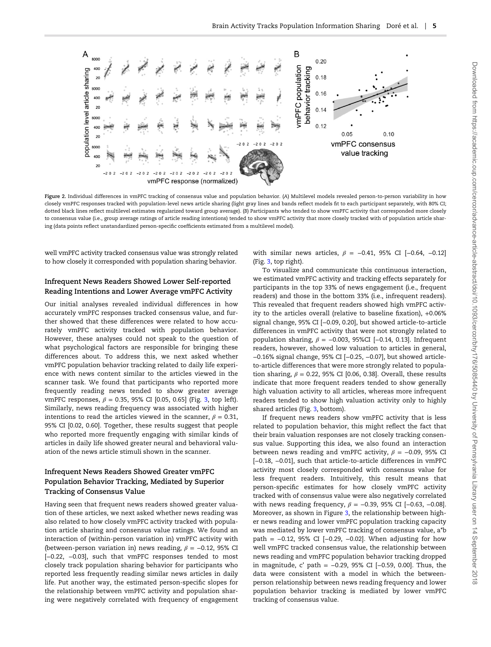<span id="page-4-0"></span>

Figure 2. Individual differences in vmPFC tracking of consensus value and population behavior. (A) Multilevel models revealed person-to-person variability in how closely vmPFC responses tracked with population-level news article sharing (light gray lines and bands reflect models fit to each participant separately, with 80% CI; dotted black lines reflect multilevel estimates regularized toward group average). (B) Participants who tended to show vmPFC activity that corresponded more closely to consensus value (i.e., group average ratings of article reading intentions) tended to show vmPFC activity that more closely tracked with of population article sharing (data points reflect unstandardized person-specific coefficients estimated from a multilevel model).

well vmPFC activity tracked consensus value was strongly related to how closely it corresponded with population sharing behavior.

# Infrequent News Readers Showed Lower Self-reported Reading Intentions and Lower Average vmPFC Activity

Our initial analyses revealed individual differences in how accurately vmPFC responses tracked consensus value, and further showed that these differences were related to how accurately vmPFC activity tracked with population behavior. However, these analyses could not speak to the question of what psychological factors are responsible for bringing these differences about. To address this, we next asked whether vmPFC population behavior tracking related to daily life experience with news content similar to the articles viewed in the scanner task. We found that participants who reported more frequently reading news tended to show greater average vmPFC responses,  $β = 0.35$  $β = 0.35$  $β = 0.35$ , 95% CI [0.05, 0.65] (Fig. 3, top left). Similarly, news reading frequency was associated with higher intentions to read the articles viewed in the scanner,  $\beta = 0.31$ , 95% CI [0.02, 0.60]. Together, these results suggest that people who reported more frequently engaging with similar kinds of articles in daily life showed greater neural and behavioral valuation of the news article stimuli shown in the scanner.

# Infrequent News Readers Showed Greater vmPFC Population Behavior Tracking, Mediated by Superior Tracking of Consensus Value

Having seen that frequent news readers showed greater valuation of these articles, we next asked whether news reading was also related to how closely vmPFC activity tracked with population article sharing and consensus value ratings. We found an interaction of (within-person variation in) vmPFC activity with (between-person variation in) news reading,  $\beta = -0.12$ , 95% CI [−0.22, −0.03], such that vmPFC responses tended to most closely track population sharing behavior for participants who reported less frequently reading similar news articles in daily life. Put another way, the estimated person-specific slopes for the relationship between vmPFC activity and population sharing were negatively correlated with frequency of engagement with similar news articles,  $β = −0.41$ , 95% CI [−0.64, −0.12] (Fig. [3](#page-5-0), top right).

To visualize and communicate this continuous interaction, we estimated vmPFC activity and tracking effects separately for participants in the top 33% of news engagement (i.e., frequent readers) and those in the bottom 33% (i.e., infrequent readers). This revealed that frequent readers showed high vmPFC activity to the articles overall (relative to baseline fixation), +0.06% signal change, 95% CI [−0.09, 0.20], but showed article-to-article differences in vmPFC activity that were not strongly related to population sharing,  $\beta$  = -0.003, 95%CI [-0.14, 0.13]. Infrequent readers, however, showed low valuation to articles in general, −0.16% signal change, 95% CI [−0.25, −0.07], but showed articleto-article differences that were more strongly related to population sharing,  $\beta = 0.22$ , 95% CI [0.06, 0.38]. Overall, these results indicate that more frequent readers tended to show generally high valuation activity to all articles, whereas more infrequent readers tended to show high valuation activity only to highly shared articles (Fig. [3](#page-5-0), bottom).

If frequent news readers show vmPFC activity that is less related to population behavior, this might reflect the fact that their brain valuation responses are not closely tracking consensus value. Supporting this idea, we also found an interaction between news reading and vmPFC activity,  $\beta$  = -0.09, 95% CI [−0.18, −0.01], such that article-to-article differences in vmPFC activity most closely corresponded with consensus value for less frequent readers. Intuitively, this result means that person-specific estimates for how closely vmPFC activity tracked with of consensus value were also negatively correlated with news reading frequency,  $\beta$  = −0.39, 95% CI [−0.63, −0.08]. Moreover, as shown in Figure [3](#page-5-0), the relationship between higher news reading and lower vmPFC population tracking capacity was mediated by lower vmPFC tracking of consensus value, a\*b path = −0.12, 95% CI [−0.29, −0.02]. When adjusting for how well vmPFC tracked consensus value, the relationship between news reading and vmPFC population behavior tracking dropped in magnitude, c' path = −0.29, 95% CI [−0.59, 0.00]. Thus, the data were consistent with a model in which the betweenperson relationship between news reading frequency and lower population behavior tracking is mediated by lower vmPFC tracking of consensus value.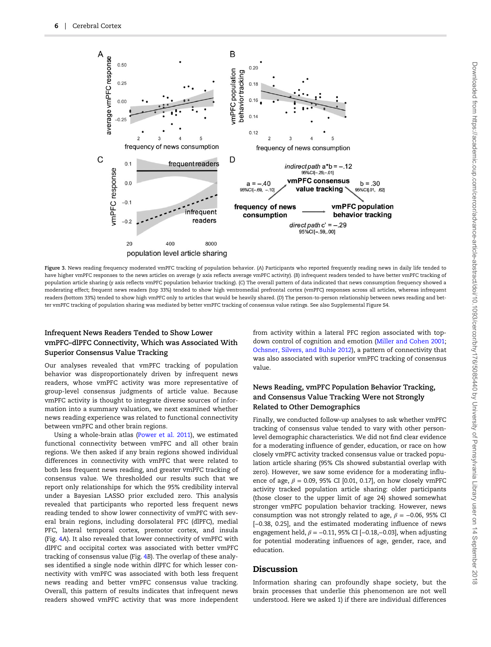<span id="page-5-0"></span>

Figure 3. News reading frequency moderated vmPFC tracking of population behavior. (A) Participants who reported frequently reading news in daily life tended to have higher vmPFC responses to the news articles on average (y axis reflects average vmPFC activity). (B) infrequent readers tended to have better vmPFC tracking of population article sharing (y axis reflects vmPFC population behavior tracking). (C) The overall pattern of data indicated that news consumption frequency showed a moderating effect; frequent news readers (top 33%) tended to show high ventromedial prefrontal cortex (vmPFC) responses across all articles, whereas infrequent readers (bottom 33%) tended to show high vmPFC only to articles that would be heavily shared. (D) The person-to-person relationship between news reading and better vmPFC tracking of population sharing was mediated by better vmPFC tracking of consensus value ratings. See also Supplemental Figure S4.

# Infrequent News Readers Tended to Show Lower vmPFC–dlPFC Connectivity, Which was Associated With Superior Consensus Value Tracking

Our analyses revealed that vmPFC tracking of population behavior was disproportionately driven by infrequent news readers, whose vmPFC activity was more representative of group-level consensus judgments of article value. Because vmPFC activity is thought to integrate diverse sources of information into a summary valuation, we next examined whether news reading experience was related to functional connectivity between vmPFC and other brain regions.

Using a whole-brain atlas ([Power et al. 2011\)](#page-8-0), we estimated functional connectivity between vmPFC and all other brain regions. We then asked if any brain regions showed individual differences in connectivity with vmPFC that were related to both less frequent news reading, and greater vmPFC tracking of consensus value. We thresholded our results such that we report only relationships for which the 95% credibility interval under a Bayesian LASSO prior excluded zero. This analysis revealed that participants who reported less frequent news reading tended to show lower connectivity of vmPFC with several brain regions, including dorsolateral PFC (dlPFC), medial PFC, lateral temporal cortex, premotor cortex, and insula (Fig. [4](#page-6-0)A). It also revealed that lower connectivity of vmPFC with dlPFC and occipital cortex was associated with better vmPFC tracking of consensus value (Fig. [4](#page-6-0)B). The overlap of these analyses identified a single node within dlPFC for which lesser connectivity with vmPFC was associated with both less frequent news reading and better vmPFC consensus value tracking. Overall, this pattern of results indicates that infrequent news readers showed vmPFC activity that was more independent from activity within a lateral PFC region associated with topdown control of cognition and emotion ([Miller and Cohen 2001;](#page-8-0) [Ochsner, Silvers, and Buhle 2012](#page-8-0)), a pattern of connectivity that was also associated with superior vmPFC tracking of consensus value.

# News Reading, vmPFC Population Behavior Tracking, and Consensus Value Tracking Were not Strongly Related to Other Demographics

Finally, we conducted follow-up analyses to ask whether vmPFC tracking of consensus value tended to vary with other personlevel demographic characteristics. We did not find clear evidence for a moderating influence of gender, education, or race on how closely vmPFC activity tracked consensus value or tracked population article sharing (95% CIs showed substantial overlap with zero). However, we saw some evidence for a moderating influence of age,  $\beta$  = 0.09, 95% CI [0.01, 0.17], on how closely vmPFC activity tracked population article sharing: older participants (those closer to the upper limit of age 24) showed somewhat stronger vmPFC population behavior tracking. However, news consumption was not strongly related to age,  $\beta = -0.06$ , 95% CI [−0.38, 0.25], and the estimated moderating influence of news engagement held,  $\beta = -0.11$ , 95% CI [-0.18,-0.03], when adjusting for potential moderating influences of age, gender, race, and education.

## Discussion

Information sharing can profoundly shape society, but the brain processes that underlie this phenomenon are not well understood. Here we asked 1) if there are individual differences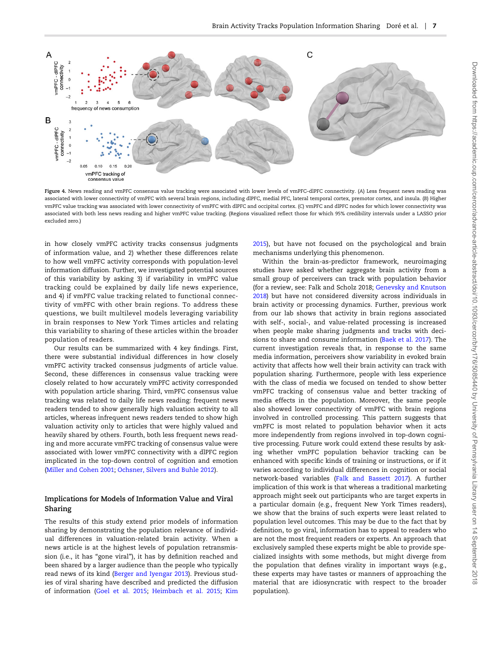<span id="page-6-0"></span>

Figure 4. News reading and vmPFC consensus value tracking were associated with lower levels of vmPFC–dlPFC connectivity. (A) Less frequent news reading was associated with lower connectivity of vmPFC with several brain regions, including dlPFC, medial PFC, lateral temporal cortex, premotor cortex, and insula. (B) Higher vmPFC value tracking was associated with lower connectivity of vmPFC with dlPFC and occipital cortex. (C) vmPFC and dlPFC nodes for which lower connectivity was associated with both less news reading and higher vmPFC value tracking. (Regions visualized reflect those for which 95% credibility intervals under a LASSO prior excluded zero.)

in how closely vmPFC activity tracks consensus judgments of information value, and 2) whether these differences relate to how well vmPFC activity corresponds with population-level information diffusion. Further, we investigated potential sources of this variability by asking 3) if variability in vmPFC value tracking could be explained by daily life news experience, and 4) if vmPFC value tracking related to functional connectivity of vmPFC with other brain regions. To address these questions, we built multilevel models leveraging variability in brain responses to New York Times articles and relating this variability to sharing of these articles within the broader population of readers.

Our results can be summarized with 4 key findings. First, there were substantial individual differences in how closely vmPFC activity tracked consensus judgments of article value. Second, these differences in consensus value tracking were closely related to how accurately vmPFC activity corresponded with population article sharing. Third, vmPFC consensus value tracking was related to daily life news reading: frequent news readers tended to show generally high valuation activity to all articles, whereas infrequent news readers tended to show high valuation activity only to articles that were highly valued and heavily shared by others. Fourth, both less frequent news reading and more accurate vmPFC tracking of consensus value were associated with lower vmPFC connectivity with a dlPFC region implicated in the top-down control of cognition and emotion [\(Miller and Cohen 2001](#page-8-0); [Ochsner, Silvers and Buhle 2012](#page-8-0)).

# Implications for Models of Information Value and Viral Sharing

The results of this study extend prior models of information sharing by demonstrating the population relevance of individual differences in valuation-related brain activity. When a news article is at the highest levels of population retransmission (i.e., it has "gone viral"), it has by definition reached and been shared by a larger audience than the people who typically read news of its kind [\(Berger and Iyengar 2013\)](#page-7-0). Previous studies of viral sharing have described and predicted the diffusion of information [\(Goel et al. 2015;](#page-8-0) [Heimbach et al. 2015;](#page-8-0) [Kim](#page-8-0) [2015\)](#page-8-0), but have not focused on the psychological and brain mechanisms underlying this phenomenon.

Within the brain-as-predictor framework, neuroimaging studies have asked whether aggregate brain activity from a small group of perceivers can track with population behavior (for a review, see: Falk and Scholz 2018; [Genevsky and Knutson](#page-8-0) [2018\)](#page-8-0) but have not considered diversity across individuals in brain activity or processing dynamics. Further, previous work from our lab shows that activity in brain regions associated with self-, social-, and value-related processing is increased when people make sharing judgments and tracks with decisions to share and consume information ([Baek et al. 2017](#page-7-0)). The current investigation reveals that, in response to the same media information, perceivers show variability in evoked brain activity that affects how well their brain activity can track with population sharing. Furthermore, people with less experience with the class of media we focused on tended to show better vmPFC tracking of consensus value and better tracking of media effects in the population. Moreover, the same people also showed lower connectivity of vmPFC with brain regions involved in controlled processing. This pattern suggests that vmPFC is most related to population behavior when it acts more independently from regions involved in top-down cognitive processing. Future work could extend these results by asking whether vmPFC population behavior tracking can be enhanced with specific kinds of training or instructions, or if it varies according to individual differences in cognition or social network-based variables [\(Falk and Bassett 2017\)](#page-8-0). A further implication of this work is that whereas a traditional marketing approach might seek out participants who are target experts in a particular domain (e.g., frequent New York Times readers), we show that the brains of such experts were least related to population level outcomes. This may be due to the fact that by definition, to go viral, information has to appeal to readers who are not the most frequent readers or experts. An approach that exclusively sampled these experts might be able to provide specialized insights with some methods, but might diverge from the population that defines virality in important ways (e.g., these experts may have tastes or manners of approaching the material that are idiosyncratic with respect to the broader population).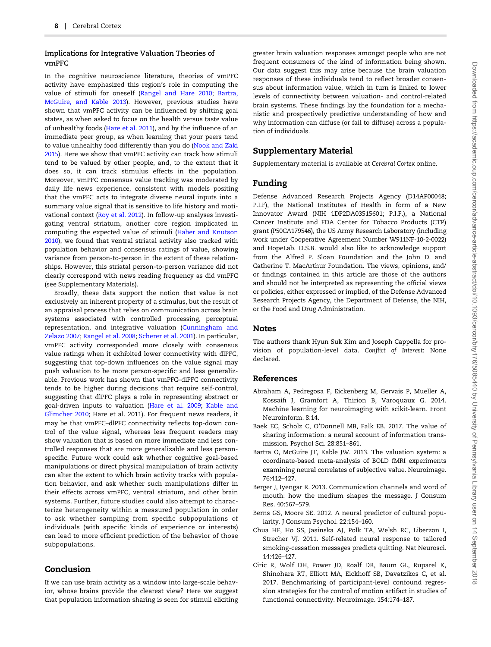## <span id="page-7-0"></span>Implications for Integrative Valuation Theories of vmPFC

In the cognitive neuroscience literature, theories of vmPFC activity have emphasized this region's role in computing the value of stimuli for oneself ([Rangel and Hare 2010;](#page-8-0) Bartra, McGuire, and Kable 2013). However, previous studies have shown that vmPFC activity can be influenced by shifting goal states, as when asked to focus on the health versus taste value of unhealthy foods [\(Hare et al. 2011\)](#page-8-0), and by the influence of an immediate peer group, as when learning that your peers tend to value unhealthy food differently than you do [\(Nook and Zaki](#page-8-0) [2015\)](#page-8-0). Here we show that vmPFC activity can track how stimuli tend to be valued by other people, and, to the extent that it does so, it can track stimulus effects in the population. Moreover, vmPFC consensus value tracking was moderated by daily life news experience, consistent with models positing that the vmPFC acts to integrate diverse neural inputs into a summary value signal that is sensitive to life history and motivational context ([Roy et al. 2012\)](#page-8-0). In follow-up analyses investigating ventral striatum, another core region implicated in computing the expected value of stimuli [\(Haber and Knutson](#page-8-0) [2010\)](#page-8-0), we found that ventral striatal activity also tracked with population behavior and consensus ratings of value, showing variance from person-to-person in the extent of these relationships. However, this striatal person-to-person variance did not clearly correspond with news reading frequency as did vmPFC (see Supplementary Materials).

Broadly, these data support the notion that value is not exclusively an inherent property of a stimulus, but the result of an appraisal process that relies on communication across brain systems associated with controlled processing, perceptual representation, and integrative valuation ([Cunningham and](#page-8-0) [Zelazo 2007;](#page-8-0) [Rangel et al. 2008;](#page-8-0) [Scherer et al. 2001](#page-8-0)). In particular, vmPFC activity corresponded more closely with consensus value ratings when it exhibited lower connectivity with dlPFC, suggesting that top-down influences on the value signal may push valuation to be more person-specific and less generalizable. Previous work has shown that vmPFC–dlPFC connectivity tends to be higher during decisions that require self-control, suggesting that dlPFC plays a role in representing abstract or goal-driven inputs to valuation ([Hare et al. 2009](#page-8-0); [Kable and](#page-8-0) [Glimcher 2010](#page-8-0); Hare et al. 2011). For frequent news readers, it may be that vmPFC–dlPFC connectivity reflects top-down control of the value signal, whereas less frequent readers may show valuation that is based on more immediate and less controlled responses that are more generalizable and less personspecific. Future work could ask whether cognitive goal-based manipulations or direct physical manipulation of brain activity can alter the extent to which brain activity tracks with population behavior, and ask whether such manipulations differ in their effects across vmPFC, ventral striatum, and other brain systems. Further, future studies could also attempt to characterize heterogeneity within a measured population in order to ask whether sampling from specific subpopulations of individuals (with specific kinds of experience or interests) can lead to more efficient prediction of the behavior of those subpopulations.

## Conclusion

If we can use brain activity as a window into large-scale behavior, whose brains provide the clearest view? Here we suggest that population information sharing is seen for stimuli eliciting

greater brain valuation responses amongst people who are not frequent consumers of the kind of information being shown. Our data suggest this may arise because the brain valuation responses of these individuals tend to reflect broader consensus about information value, which in turn is linked to lower levels of connectivity between valuation- and control-related brain systems. These findings lay the foundation for a mechanistic and prospectively predictive understanding of how and why information can diffuse (or fail to diffuse) across a population of individuals.

# Supplementary Material

Supplementary material is available at Cerebral Cortex online.

# Funding

Defense Advanced Research Projects Agency (D14AP00048; P.I.F), the National Institutes of Health in form of a New Innovator Award (NIH 1DP2DA03515601; P.I.F.), a National Cancer Institute and FDA Center for Tobacco Products (CTP) grant (P50CA179546), the US Army Research Laboratory (including work under Cooperative Agreement Number W911NF-10-2-0022) and HopeLab. D.S.B. would also like to acknowledge support from the Alfred P. Sloan Foundation and the John D. and Catherine T. MacArthur Foundation. The views, opinions, and/ or findings contained in this article are those of the authors and should not be interpreted as representing the official views or policies, either expressed or implied, of the Defense Advanced Research Projects Agency, the Department of Defense, the NIH, or the Food and Drug Administration.

## Notes

The authors thank Hyun Suk Kim and Joseph Cappella for provision of population-level data. Conflict of Interest: None declared.

## References

- Abraham A, Pedregosa F, Eickenberg M, Gervais P, Mueller A, Kossaifi J, Gramfort A, Thirion B, Varoquaux G. 2014. Machine learning for neuroimaging with scikit-learn. Front Neuroinform. 8:14.
- Baek EC, Scholz C, O'Donnell MB, Falk EB. 2017. The value of sharing information: a neural account of information transmission. Psychol Sci. 28:851–861.
- Bartra O, McGuire JT, Kable JW. 2013. The valuation system: a coordinate-based meta-analysis of BOLD fMRI experiments examining neural correlates of subjective value. Neuroimage. 76:412–427.
- Berger J, Iyengar R. 2013. Communication channels and word of mouth: how the medium shapes the message. J Consum Res. 40:567–579.
- Berns GS, Moore SE. 2012. A neural predictor of cultural popularity. J Consum Psychol. 22:154–160.
- Chua HF, Ho SS, Jasinska AJ, Polk TA, Welsh RC, Liberzon I, Strecher VJ. 2011. Self-related neural response to tailored smoking-cessation messages predicts quitting. Nat Neurosci. 14:426–427.
- Ciric R, Wolf DH, Power JD, Roalf DR, Baum GL, Ruparel K, Shinohara RT, Elliott MA, Eickhoff SB, Davatzikos C, et al. 2017. Benchmarking of participant-level confound regression strategies for the control of motion artifact in studies of functional connectivity. Neuroimage. 154:174–187.